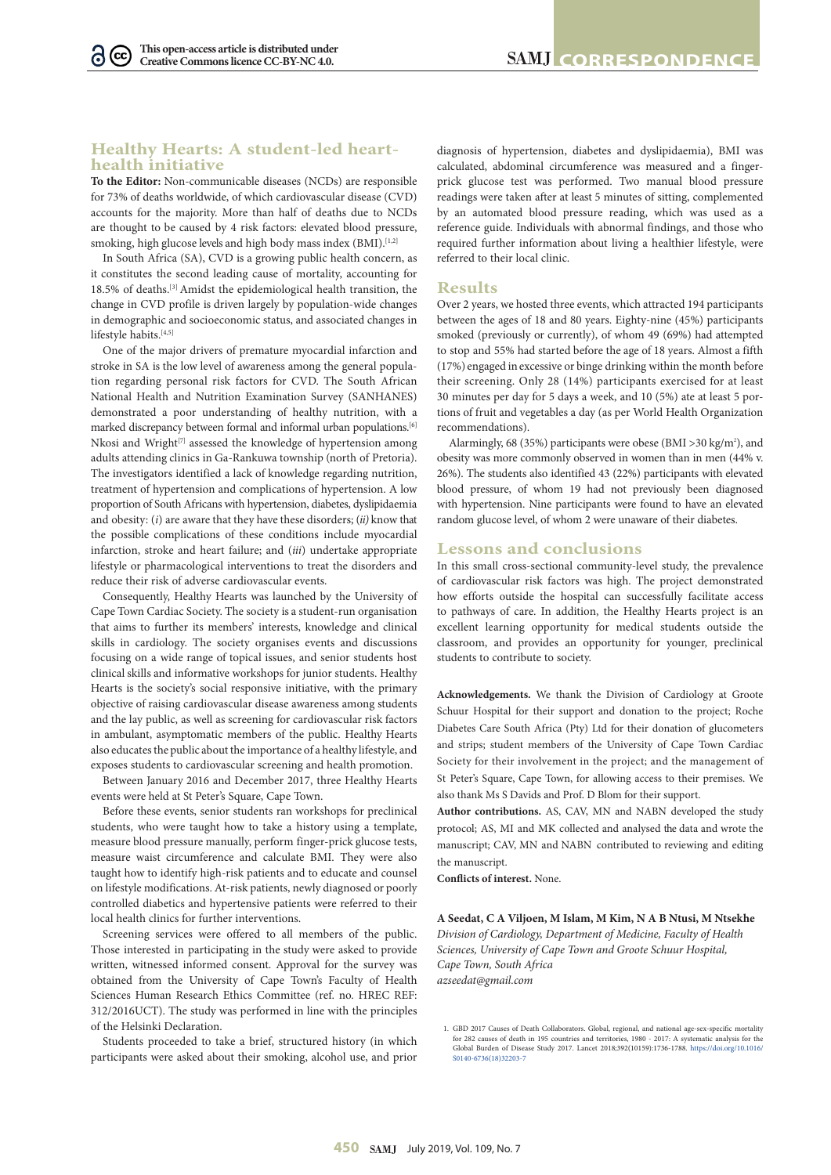$(cc)$ 

## **Healthy Hearts: A student-led hearthealth initiative**

**To the Editor:** Non-communicable diseases (NCDs) are responsible for 73% of deaths worldwide, of which cardiovascular disease (CVD) accounts for the majority. More than half of deaths due to NCDs are thought to be caused by 4 risk factors: elevated blood pressure, smoking, high glucose levels and high body mass index (BMI).<sup>[1,2]</sup>

In South Africa (SA), CVD is a growing public health concern, as it constitutes the second leading cause of mortality, accounting for 18.5% of deaths.[3] Amidst the epidemiological health transition, the change in CVD profile is driven largely by population-wide changes in demographic and socioeconomic status, and associated changes in lifestyle habits.[4,5]

One of the major drivers of premature myocardial infarction and stroke in SA is the low level of awareness among the general population regarding personal risk factors for CVD. The South African National Health and Nutrition Examination Survey (SANHANES) demonstrated a poor understanding of healthy nutrition, with a marked discrepancy between formal and informal urban populations.<sup>[6]</sup> Nkosi and Wright<sup>[7]</sup> assessed the knowledge of hypertension among adults attending clinics in Ga-Rankuwa township (north of Pretoria). The investigators identified a lack of knowledge regarding nutrition, treatment of hypertension and complications of hypertension. A low proportion of South Africans with hypertension, diabetes, dyslipidaemia and obesity: (*i*) are aware that they have these disorders; (*ii)* know that the possible complications of these conditions include myocardial infarction, stroke and heart failure; and (*iii*) undertake appropriate lifestyle or pharmacological interventions to treat the disorders and reduce their risk of adverse cardiovascular events.

Consequently, Healthy Hearts was launched by the University of Cape Town Cardiac Society. The society is a student-run organisation that aims to further its members' interests, knowledge and clinical skills in cardiology. The society organises events and discussions focusing on a wide range of topical issues, and senior students host clinical skills and informative workshops for junior students. Healthy Hearts is the society's social responsive initiative, with the primary objective of raising cardiovascular disease awareness among students and the lay public, as well as screening for cardiovascular risk factors in ambulant, asymptomatic members of the public. Healthy Hearts also educates the public about the importance of a healthy lifestyle, and exposes students to cardiovascular screening and health promotion.

Between January 2016 and December 2017, three Healthy Hearts events were held at St Peter's Square, Cape Town.

Before these events, senior students ran workshops for preclinical students, who were taught how to take a history using a template, measure blood pressure manually, perform finger-prick glucose tests, measure waist circumference and calculate BMI. They were also taught how to identify high-risk patients and to educate and counsel on lifestyle modifications. At-risk patients, newly diagnosed or poorly controlled diabetics and hypertensive patients were referred to their local health clinics for further interventions.

Screening services were offered to all members of the public. Those interested in participating in the study were asked to provide written, witnessed informed consent. Approval for the survey was obtained from the University of Cape Town's Faculty of Health Sciences Human Research Ethics Committee (ref. no. HREC REF: 312/2016UCT). The study was performed in line with the principles of the Helsinki Declaration.

Students proceeded to take a brief, structured history (in which participants were asked about their smoking, alcohol use, and prior diagnosis of hypertension, diabetes and dyslipidaemia), BMI was calculated, abdominal circumference was measured and a fingerprick glucose test was performed. Two manual blood pressure readings were taken after at least 5 minutes of sitting, complemented by an automated blood pressure reading, which was used as a reference guide. Individuals with abnormal findings, and those who required further information about living a healthier lifestyle, were referred to their local clinic.

## **Results**

Over 2 years, we hosted three events, which attracted 194 participants between the ages of 18 and 80 years. Eighty-nine (45%) participants smoked (previously or currently), of whom 49 (69%) had attempted to stop and 55% had started before the age of 18 years. Almost a fifth (17%) engaged in excessive or binge drinking within the month before their screening. Only 28 (14%) participants exercised for at least 30 minutes per day for 5 days a week, and 10 (5%) ate at least 5 portions of fruit and vegetables a day (as per World Health Organization recommendations).

Alarmingly, 68 (35%) participants were obese (BMI > 30 kg/m<sup>2</sup>), and obesity was more commonly observed in women than in men (44% v. 26%). The students also identified 43 (22%) participants with elevated blood pressure, of whom 19 had not previously been diagnosed with hypertension. Nine participants were found to have an elevated random glucose level, of whom 2 were unaware of their diabetes.

## **Lessons and conclusions**

In this small cross-sectional community-level study, the prevalence of cardiovascular risk factors was high. The project demonstrated how efforts outside the hospital can successfully facilitate access to pathways of care. In addition, the Healthy Hearts project is an excellent learning opportunity for medical students outside the classroom, and provides an opportunity for younger, preclinical students to contribute to society.

**Acknowledgements.** We thank the Division of Cardiology at Groote Schuur Hospital for their support and donation to the project; Roche Diabetes Care South Africa (Pty) Ltd for their donation of glucometers and strips; student members of the University of Cape Town Cardiac Society for their involvement in the project; and the management of St Peter's Square, Cape Town, for allowing access to their premises. We also thank Ms S Davids and Prof. D Blom for their support.

**Author contributions.** AS, CAV, MN and NABN developed the study protocol; AS, MI and MK collected and analysed the data and wrote the manuscript; CAV, MN and NABN contributed to reviewing and editing the manuscript.

**Conflicts of interest.** None.

**A Seedat, C A Viljoen, M Islam, M Kim, N A B Ntusi, M Ntsekhe** *Division of Cardiology, Department of Medicine, Faculty of Health Sciences, University of Cape Town and Groote Schuur Hospital, Cape Town, South Africa azseedat@gmail.com*

<sup>1.</sup> GBD 2017 Causes of Death Collaborators. Global, regional, and national age-sex-specific mortality for 282 causes of death in 195 countries and territories, 1980 - 2017: A systematic analysis for the Global Burden of Disease Study 2017. Lancet 2018;392(10159):1736-1788. [https://doi.org/10.1016/](https://doi.org/10.1016/S0140-6736(18)32203-7 ) [S0140-6736\(18\)32203-7](https://doi.org/10.1016/S0140-6736(18)32203-7 )